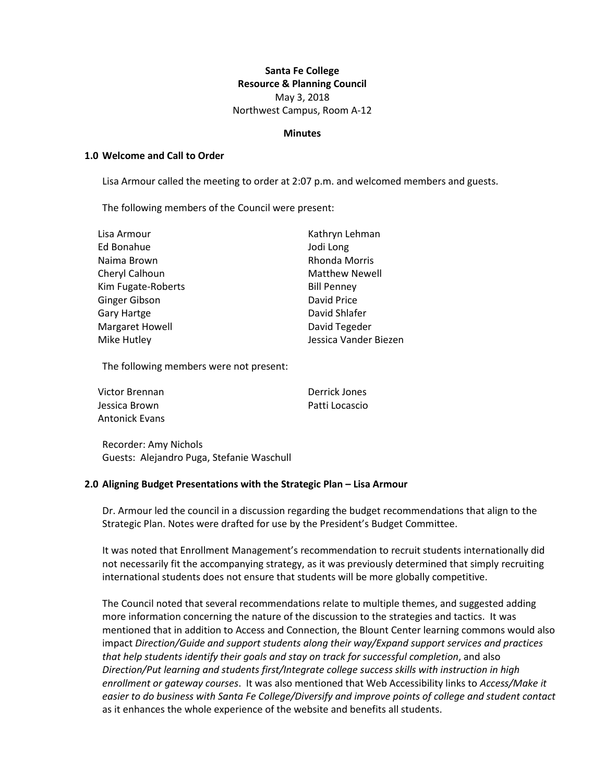# **Santa Fe College Resource & Planning Council** May 3, 2018 Northwest Campus, Room A-12

#### **Minutes**

### **1.0 Welcome and Call to Order**

Lisa Armour called the meeting to order at 2:07 p.m. and welcomed members and guests.

The following members of the Council were present:

| Lisa Armour            | Kathryn Lehman        |
|------------------------|-----------------------|
| Ed Bonahue             | Jodi Long             |
| Naima Brown            | Rhonda Morris         |
| Cheryl Calhoun         | <b>Matthew Newell</b> |
| Kim Fugate-Roberts     | <b>Bill Penney</b>    |
| Ginger Gibson          | David Price           |
| Gary Hartge            | David Shlafer         |
| <b>Margaret Howell</b> | David Tegeder         |
| Mike Hutley            | Jessica Vander Biezen |

The following members were not present:

| Victor Brennan        | Derrick Jones  |
|-----------------------|----------------|
| Jessica Brown         | Patti Locascio |
| <b>Antonick Evans</b> |                |

Recorder: Amy Nichols Guests: Alejandro Puga, Stefanie Waschull

## **2.0 Aligning Budget Presentations with the Strategic Plan – Lisa Armour**

Dr. Armour led the council in a discussion regarding the budget recommendations that align to the Strategic Plan. Notes were drafted for use by the President's Budget Committee.

It was noted that Enrollment Management's recommendation to recruit students internationally did not necessarily fit the accompanying strategy, as it was previously determined that simply recruiting international students does not ensure that students will be more globally competitive.

The Council noted that several recommendations relate to multiple themes, and suggested adding more information concerning the nature of the discussion to the strategies and tactics. It was mentioned that in addition to Access and Connection, the Blount Center learning commons would also impact *Direction/Guide and support students along their way/Expand support services and practices that help students identify their goals and stay on track for successful completion*, and also *Direction/Put learning and students first/Integrate college success skills with instruction in high enrollment or gateway courses*. It was also mentioned that Web Accessibility links to *Access/Make it easier to do business with Santa Fe College/Diversify and improve points of college and student contact* as it enhances the whole experience of the website and benefits all students.